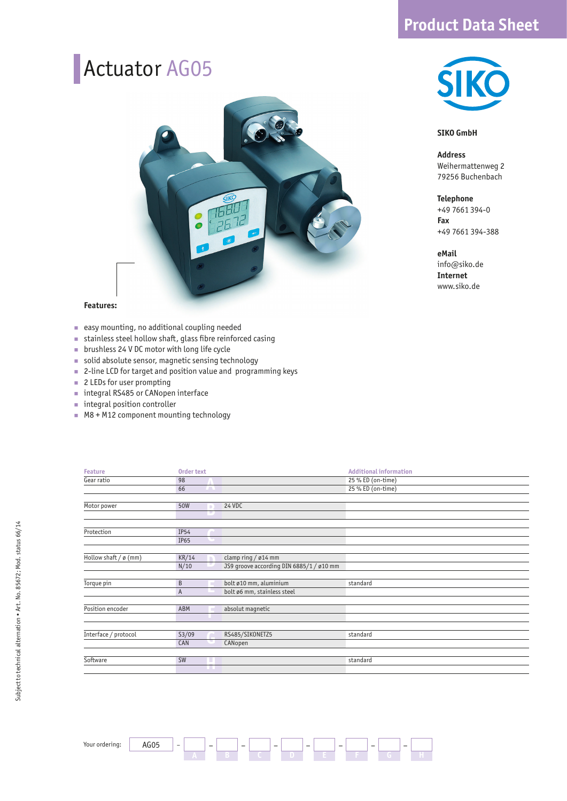### **Product Data Sheet**

### Actuator AG05



#### **Features:**

- easy mounting, no additional coupling needed
- stainless steel hollow shaft, glass fibre reinforced casing à.
- brushless 24 V DC motor with long life cycle
- solid absolute sensor, magnetic sensing technology
- 2-line LCD for target and position value and programming keys
- 2 LEDs for user prompting
- integral RS485 or CANopen interface
- integral position controller
- M8 + M12 component mounting technology

#### **SIKO GmbH**

**Address**  Weihermattenweg 2 79256 Buchenbach

**Telephone** +49 7661 394-0 **Fax** +49 7661 394-388

#### **eMail**

info@siko.de **Internet** www.siko.de

| <b>Feature</b>        |                | Order text |                                          | <b>Additional information</b> |  |  |
|-----------------------|----------------|------------|------------------------------------------|-------------------------------|--|--|
| Gear ratio            | 98             |            |                                          | 25 % ED (on-time)             |  |  |
|                       | 66             | m          |                                          | 25 % ED (on-time)             |  |  |
|                       |                |            |                                          |                               |  |  |
| Motor power           | <b>50W</b>     |            | 24 VDC                                   |                               |  |  |
|                       |                |            |                                          |                               |  |  |
|                       |                |            |                                          |                               |  |  |
| Protection            | <b>IP54</b>    |            |                                          |                               |  |  |
|                       | IP65           |            |                                          |                               |  |  |
|                       |                |            |                                          |                               |  |  |
| Hollow shaft / ø (mm) | KR/14          |            | clamp ring / $\emptyset$ 14 mm           |                               |  |  |
|                       | N/10           |            | JS9 groove according DIN 6885/1 / ø10 mm |                               |  |  |
|                       |                |            |                                          |                               |  |  |
| Torque pin            | B              |            | bolt ø10 mm, aluminium                   | standard                      |  |  |
|                       | $\overline{A}$ |            | bolt ø6 mm, stainless steel              |                               |  |  |
|                       |                |            |                                          |                               |  |  |
| Position encoder      | ABM            |            | absolut magnetic                         |                               |  |  |
|                       |                |            |                                          |                               |  |  |
|                       |                |            |                                          |                               |  |  |
| Interface / protocol  | S3/09          |            | RS485/SIKONETZ5                          | standard                      |  |  |
|                       | CAN            |            | CANopen                                  |                               |  |  |
|                       |                |            |                                          |                               |  |  |
| Software              | <b>SW</b>      |            |                                          | standard                      |  |  |
|                       |                |            |                                          |                               |  |  |

– **H**

**G** –

**F** –

**E**

–

**D**

–

**C**

–

**B**

–

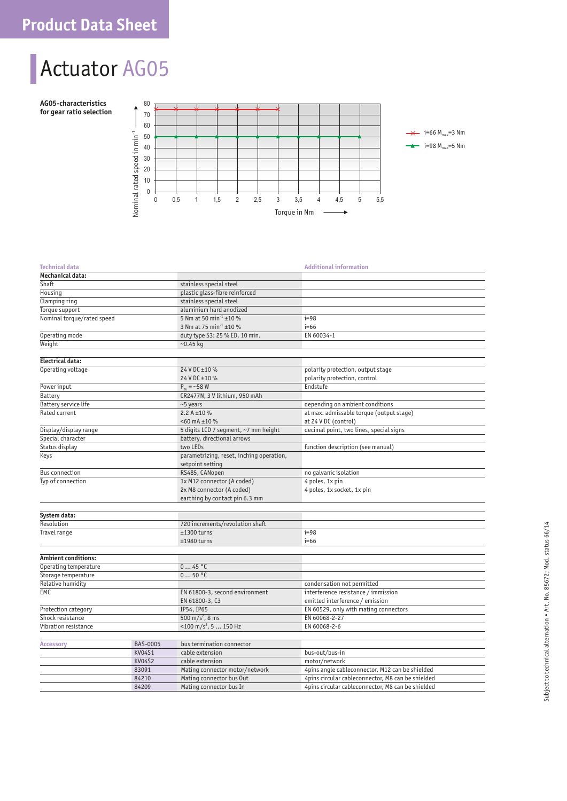## Actuator AG05

**AG05-characteristics for gear ratio selection**



### **Technical data** Additional information

| Mechanical data:            |               |                                          |                                                   |  |  |
|-----------------------------|---------------|------------------------------------------|---------------------------------------------------|--|--|
| Shaft                       |               | stainless special steel                  |                                                   |  |  |
| Housing                     |               | plastic glass-fibre reinforced           |                                                   |  |  |
| Clamping ring               |               | stainless special steel                  |                                                   |  |  |
| Torque support              |               | aluminium hard anodized                  |                                                   |  |  |
| Nominal torque/rated speed  |               | 5 Nm at 50 min <sup>-1</sup> ±10 %       | $i=98$                                            |  |  |
|                             |               | 3 Nm at 75 min <sup>-1</sup> ±10 %       | $i=66$                                            |  |  |
| Operating mode              |               | duty type S3: 25 % ED, 10 min.           | EN 60034-1                                        |  |  |
| Weight                      |               | $-0.45$ kg                               |                                                   |  |  |
|                             |               |                                          |                                                   |  |  |
| Electrical data:            |               |                                          |                                                   |  |  |
| Operating voltage           |               | 24 V DC ±10 %                            | polarity protection, output stage                 |  |  |
|                             |               | 24 V DC ±10 %                            | polarity protection, control                      |  |  |
| Power input                 |               | $P_{\text{m}} = -58$ W                   | Endstufe                                          |  |  |
| Battery                     |               | CR2477N, 3 V lithium, 950 mAh            |                                                   |  |  |
| <b>Battery service life</b> |               | ~5 years                                 | depending on ambient conditions                   |  |  |
| Rated current               |               | 2.2 A $\pm$ 10 %                         | at max. admissable torque (output stage)          |  |  |
|                             |               | $<$ 60 mA $\pm$ 10 %                     | at 24 V DC (control)                              |  |  |
| Display/display range       |               | 5 digits LCD 7 segment, ~7 mm height     | decimal point, two lines, special signs           |  |  |
| Special character           |               | battery, directional arrows              |                                                   |  |  |
| Status display              |               | two LEDs                                 | function description (see manual)                 |  |  |
| Keys                        |               | parametrizing, reset, inching operation, |                                                   |  |  |
|                             |               | setpoint setting                         |                                                   |  |  |
| <b>Bus connection</b>       |               | RS485, CANopen                           | no qalvanic isolation                             |  |  |
| Typ of connection           |               | 1x M12 connector (A coded)               | 4 poles, 1x pin                                   |  |  |
|                             |               | 2x M8 connector (A coded)                | 4 poles, 1x socket, 1x pin                        |  |  |
|                             |               | earthing by contact pin 6.3 mm           |                                                   |  |  |
|                             |               |                                          |                                                   |  |  |
| System data:                |               |                                          |                                                   |  |  |
| Resolution                  |               | 720 increments/revolution shaft          |                                                   |  |  |
| Travel range                |               | ±1300 turns                              | $i=98$                                            |  |  |
|                             |               | ±1980 turns                              | $i=66$                                            |  |  |
|                             |               |                                          |                                                   |  |  |
| <b>Ambient conditions:</b>  |               |                                          |                                                   |  |  |
| Operating temperature       |               | 045 °C                                   |                                                   |  |  |
| Storage temperature         |               | 050 °C                                   |                                                   |  |  |
| Relative humidity           |               |                                          | condensation not permitted                        |  |  |
| EMC                         |               | EN 61800-3, second environment           | interference resistance / immission               |  |  |
|                             |               | EN 61800-3, C3                           | emitted interference / emission                   |  |  |
| Protection category         |               | IP54, IP65                               | EN 60529, only with mating connectors             |  |  |
| Shock resistance            |               | 500 m/s <sup>2</sup> , 8 ms              | EN 60068-2-27                                     |  |  |
| Vibration resistance        |               | $<$ 100 m/s <sup>2</sup> , 5  150 Hz     | EN 60068-2-6                                      |  |  |
|                             |               |                                          |                                                   |  |  |
| <b>Accessory</b>            | BAS-0005      | bus termination connector                |                                                   |  |  |
|                             | <b>KV04S1</b> | cable extension                          | bus-out/bus-in                                    |  |  |
|                             | <b>KV04S2</b> | cable extension                          | motor/network                                     |  |  |
|                             | 83091         | Mating connector motor/network           | 4pins angle cableconnector, M12 can be shielded   |  |  |
|                             | 84210         | Mating connector bus Out                 | 4pins circular cableconnector, M8 can be shielded |  |  |
|                             | 84209         | Mating connector bus In                  | 4pins circular cableconnector, M8 can be shielded |  |  |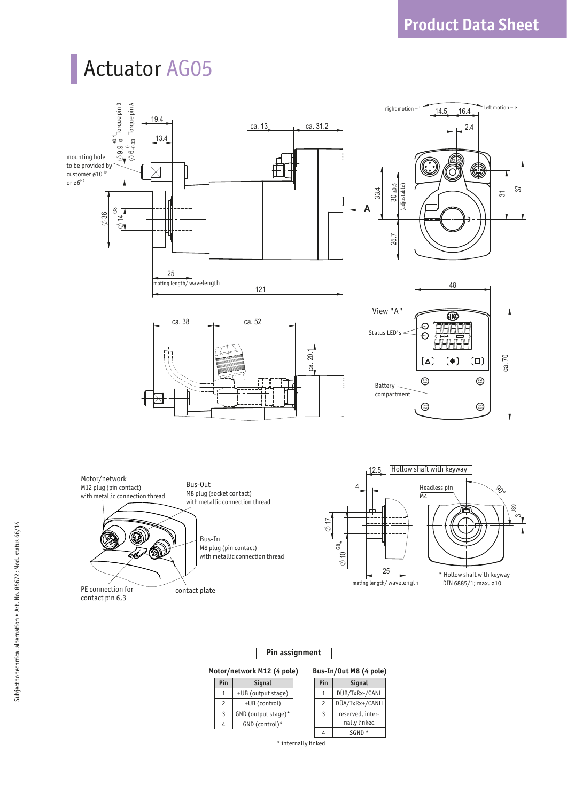# Actuator AG05



### **Pin assignment**

### **Motor/network M12 (4 pole)**

|                | otor/network M12 (4 pole) | Bus-In/Out M8 (4 pole) |                  |  |
|----------------|---------------------------|------------------------|------------------|--|
| Pin            | <b>Signal</b>             | Pin                    | <b>Signal</b>    |  |
| 1              | +UB (output stage)        |                        | DÜB/TxRx-/CANL   |  |
| $\mathfrak{p}$ | +UB (control)             | $\mathcal{P}$          | DÜA/TxRx+/CANH   |  |
| 3              | GND (output stage)*       | 3                      | reserved, inter- |  |
| 4              | GND (control)*            |                        | nally linked     |  |
|                |                           |                        | SGND             |  |

\* internally linked